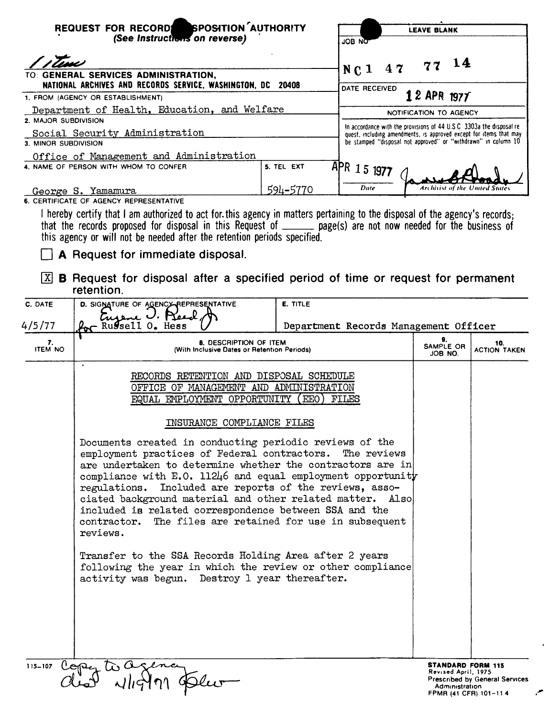|                                                                                   | REQUEST FOR RECORDE SPOSITION AUTHORITY<br>(See Instructions on reverse)<br>JOB NOT                                                                                                                                                                                                                                                                                                                                                                                                             |                 |                                                                                                                                      | <b>LEAVE BLANK</b>                                                                         |                                       |  |
|-----------------------------------------------------------------------------------|-------------------------------------------------------------------------------------------------------------------------------------------------------------------------------------------------------------------------------------------------------------------------------------------------------------------------------------------------------------------------------------------------------------------------------------------------------------------------------------------------|-----------------|--------------------------------------------------------------------------------------------------------------------------------------|--------------------------------------------------------------------------------------------|---------------------------------------|--|
|                                                                                   |                                                                                                                                                                                                                                                                                                                                                                                                                                                                                                 |                 |                                                                                                                                      |                                                                                            |                                       |  |
| $NC1$ 47<br>TO: GENERAL SERVICES ADMINISTRATION,                                  |                                                                                                                                                                                                                                                                                                                                                                                                                                                                                                 |                 |                                                                                                                                      | 14                                                                                         |                                       |  |
|                                                                                   | NATIONAL ARCHIVES AND RECORDS SERVICE, WASHINGTON, DC 20408                                                                                                                                                                                                                                                                                                                                                                                                                                     |                 | DATE RECEIVED                                                                                                                        | $12$ APR 1977                                                                              |                                       |  |
| 1. FROM (AGENCY OR ESTABLISHMENT)<br>Department of Health, Education, and Welfare |                                                                                                                                                                                                                                                                                                                                                                                                                                                                                                 |                 |                                                                                                                                      | NOTIFICATION TO AGENCY                                                                     |                                       |  |
| 2. MAJOR SUBDIVISION                                                              |                                                                                                                                                                                                                                                                                                                                                                                                                                                                                                 |                 | In accordance with the provisions of 44 U.S.C. 3303a the disposal re-                                                                |                                                                                            |                                       |  |
| 3. MINOR SUBDIVISION                                                              | Social Security Administration<br>Office of Management and Administration                                                                                                                                                                                                                                                                                                                                                                                                                       |                 | quest, including amendments, is approved except for items that may<br>be stamped "disposal not approved" or "withdrawn" in column 10 |                                                                                            |                                       |  |
|                                                                                   | 4. NAME OF PERSON WITH WHOM TO CONFER                                                                                                                                                                                                                                                                                                                                                                                                                                                           | 5. TEL EXT      | APR 15 1977                                                                                                                          |                                                                                            |                                       |  |
|                                                                                   | George S. Yamamura<br>6. CERTIFICATE OF AGENCY REPRESENTATIVE                                                                                                                                                                                                                                                                                                                                                                                                                                   | 594-5770        | Date                                                                                                                                 | Archivist of the United State                                                              |                                       |  |
| X <br>C. DATE                                                                     | this agency or will not be needed after the retention periods specified.<br><b>A</b> Request for immediate disposal.<br><b>B</b> Request for disposal after a specified period of time or request for permanent<br>retention.<br>D. SIGNATURE OF AGENCY REPRESENTATIVE                                                                                                                                                                                                                          | <b>E. TITLE</b> |                                                                                                                                      |                                                                                            |                                       |  |
| 4/5/77                                                                            | tusene U. Preed<br>Russell O. Hess                                                                                                                                                                                                                                                                                                                                                                                                                                                              |                 | Department Records Management Officer                                                                                                |                                                                                            |                                       |  |
| 7.<br><b>ITEM NO</b>                                                              | 8. DESCRIPTION OF ITEM<br>(With Inclusive Dates or Retention Periods)                                                                                                                                                                                                                                                                                                                                                                                                                           |                 |                                                                                                                                      | 9.<br>SAMPLE OR<br>JOB NO.                                                                 | 10.<br><b>ACTION TAKEN</b>            |  |
|                                                                                   | RECORDS RETENTION AND DISPOSAL SCHEDULE<br>OFFICE OF MANAGEMENT AND ADMINISTRATION<br>EQUAL EMPLOYMENT OPPORTUNITY<br>EEO<br>FILES                                                                                                                                                                                                                                                                                                                                                              |                 |                                                                                                                                      |                                                                                            |                                       |  |
|                                                                                   | INSURANCE COMPLIANCE FILES                                                                                                                                                                                                                                                                                                                                                                                                                                                                      |                 |                                                                                                                                      |                                                                                            |                                       |  |
|                                                                                   | Documents created in conducting periodic reviews of the<br>employment practices of Federal contractors.<br>are undertaken to determine whether the contractors are in<br>compliance with $E.0.11246$ and equal employment opportunity<br>regulations. Included are reports of the reviews, asso-<br>ciated background material and other related matter. Also<br>included is related correspondence between SSA and the<br>contractor. The files are retained for use in subsequent<br>reviews. |                 | The reviews                                                                                                                          |                                                                                            |                                       |  |
|                                                                                   | Transfer to the SSA Records Holding Area after 2 years<br>following the year in which the review or other compliance<br>activity was begun. Destroy 1 year thereafter.                                                                                                                                                                                                                                                                                                                          |                 |                                                                                                                                      |                                                                                            |                                       |  |
| $115 - 107$                                                                       | Copy to a sence                                                                                                                                                                                                                                                                                                                                                                                                                                                                                 |                 |                                                                                                                                      | <b>STANDARD FORM 115</b><br>Revised April, 1975<br>Administration<br>FPMR (41 CFR) 101-114 | <b>Prescribed by General Services</b> |  |

 $\rightarrow$